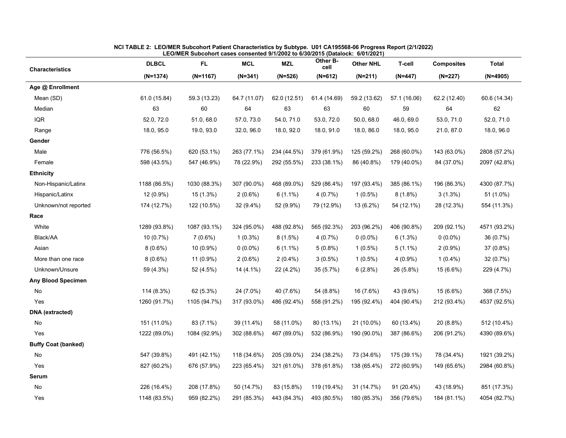| <b>Characteristics</b>     | <b>DLBCL</b> | <b>FL</b>    | <b>MCL</b>   | <b>MZL</b>   | Other B-<br>cell | <b>Other NHL</b> | <b>T-cell</b> | <b>Composites</b> | <b>Total</b> |
|----------------------------|--------------|--------------|--------------|--------------|------------------|------------------|---------------|-------------------|--------------|
|                            | $(N=1374)$   | $(N=1167)$   | $(N=341)$    | $(N=526)$    | $(N=612)$        | $(N=211)$        | $(N=447)$     | $(N=227)$         | $(N=4905)$   |
| Age @ Enrollment           |              |              |              |              |                  |                  |               |                   |              |
| Mean (SD)                  | 61.0 (15.84) | 59.3 (13.23) | 64.7 (11.07) | 62.0 (12.51) | 61.4 (14.69)     | 59.2 (13.62)     | 57.1 (16.06)  | 62.2 (12.40)      | 60.6 (14.34) |
| Median                     | 63           | 60           | 64           | 63           | 63               | 60               | 59            | 64                | 62           |
| <b>IQR</b>                 | 52.0, 72.0   | 51.0, 68.0   | 57.0, 73.0   | 54.0, 71.0   | 53.0, 72.0       | 50.0, 68.0       | 46.0, 69.0    | 53.0, 71.0        | 52.0, 71.0   |
| Range                      | 18.0, 95.0   | 19.0, 93.0   | 32.0, 96.0   | 18.0, 92.0   | 18.0, 91.0       | 18.0, 86.0       | 18.0, 95.0    | 21.0, 87.0        | 18.0, 96.0   |
| Gender                     |              |              |              |              |                  |                  |               |                   |              |
| Male                       | 776 (56.5%)  | 620 (53.1%)  | 263 (77.1%)  | 234 (44.5%)  | 379 (61.9%)      | 125 (59.2%)      | 268 (60.0%)   | 143 (63.0%)       | 2808 (57.2%) |
| Female                     | 598 (43.5%)  | 547 (46.9%)  | 78 (22.9%)   | 292 (55.5%)  | 233 (38.1%)      | 86 (40.8%)       | 179 (40.0%)   | 84 (37.0%)        | 2097 (42.8%) |
| <b>Ethnicity</b>           |              |              |              |              |                  |                  |               |                   |              |
| Non-Hispanic/Latinx        | 1188 (86.5%) | 1030 (88.3%) | 307 (90.0%)  | 468 (89.0%)  | 529 (86.4%)      | 197 (93.4%)      | 385 (86.1%)   | 196 (86.3%)       | 4300 (87.7%) |
| Hispanic/Latinx            | 12 (0.9%)    | 15 (1.3%)    | $2(0.6\%)$   | $6(1.1\%)$   | 4(0.7%)          | $1(0.5\%)$       | $8(1.8\%)$    | $3(1.3\%)$        | 51 (1.0%)    |
| Unknown/not reported       | 174 (12.7%)  | 122 (10.5%)  | 32 (9.4%)    | 52 (9.9%)    | 79 (12.9%)       | 13 (6.2%)        | 54 (12.1%)    | 28 (12.3%)        | 554 (11.3%)  |
| Race                       |              |              |              |              |                  |                  |               |                   |              |
| White                      | 1289 (93.8%) | 1087 (93.1%) | 324 (95.0%)  | 488 (92.8%)  | 565 (92.3%)      | 203 (96.2%)      | 406 (90.8%)   | 209 (92.1%)       | 4571 (93.2%) |
| Black/AA                   | 10 (0.7%)    | $7(0.6\%)$   | $1(0.3\%)$   | $8(1.5\%)$   | 4(0.7%)          | $0(0.0\%)$       | 6(1.3%)       | $0(0.0\%)$        | 36 (0.7%)    |
| Asian                      | $8(0.6\%)$   | 10 (0.9%)    | $0(0.0\%)$   | $6(1.1\%)$   | $5(0.8\%)$       | $1(0.5\%)$       | $5(1.1\%)$    | $2(0.9\%)$        | 37 (0.8%)    |
| More than one race         | $8(0.6\%)$   | 11 (0.9%)    | $2(0.6\%)$   | $2(0.4\%)$   | $3(0.5\%)$       | $1(0.5\%)$       | $4(0.9\%)$    | $1(0.4\%)$        | 32 (0.7%)    |
| Unknown/Unsure             | 59 (4.3%)    | 52 (4.5%)    | 14 (4.1%)    | 22 (4.2%)    | 35 (5.7%)        | 6(2.8%)          | 26 (5.8%)     | 15 (6.6%)         | 229 (4.7%)   |
| Any Blood Specimen         |              |              |              |              |                  |                  |               |                   |              |
| No                         | 114 (8.3%)   | 62 (5.3%)    | 24 (7.0%)    | 40 (7.6%)    | 54 (8.8%)        | 16 (7.6%)        | 43 (9.6%)     | 15 (6.6%)         | 368 (7.5%)   |
| Yes                        | 1260 (91.7%) | 1105 (94.7%) | 317 (93.0%)  | 486 (92.4%)  | 558 (91.2%)      | 195 (92.4%)      | 404 (90.4%)   | 212 (93.4%)       | 4537 (92.5%) |
| <b>DNA</b> (extracted)     |              |              |              |              |                  |                  |               |                   |              |
| No                         | 151 (11.0%)  | 83 (7.1%)    | 39 (11.4%)   | 58 (11.0%)   | 80 (13.1%)       | 21 (10.0%)       | 60 (13.4%)    | 20 (8.8%)         | 512 (10.4%)  |
| Yes                        | 1222 (89.0%) | 1084 (92.9%) | 302 (88.6%)  | 467 (89.0%)  | 532 (86.9%)      | 190 (90.0%)      | 387 (86.6%)   | 206 (91.2%)       | 4390 (89.6%) |
| <b>Buffy Coat (banked)</b> |              |              |              |              |                  |                  |               |                   |              |
| No                         | 547 (39.8%)  | 491 (42.1%)  | 118 (34.6%)  | 205 (39.0%)  | 234 (38.2%)      | 73 (34.6%)       | 175 (39.1%)   | 78 (34.4%)        | 1921 (39.2%) |
| Yes                        | 827 (60.2%)  | 676 (57.9%)  | 223 (65.4%)  | 321 (61.0%)  | 378 (61.8%)      | 138 (65.4%)      | 272 (60.9%)   | 149 (65.6%)       | 2984 (60.8%) |
| Serum                      |              |              |              |              |                  |                  |               |                   |              |
| $\mathsf{No}$              | 226 (16.4%)  | 208 (17.8%)  | 50 (14.7%)   | 83 (15.8%)   | 119 (19.4%)      | 31 (14.7%)       | 91 (20.4%)    | 43 (18.9%)        | 851 (17.3%)  |
| Yes                        | 1148 (83.5%) | 959 (82.2%)  | 291 (85.3%)  | 443 (84.3%)  | 493 (80.5%)      | 180 (85.3%)      | 356 (79.6%)   | 184 (81.1%)       | 4054 (82.7%) |

| NCI TABLE 2: LEO/MER Subcohort Patient Characteristics by Subtype. U01 CA195568-06 Progress Report (2/1/2022) |  |
|---------------------------------------------------------------------------------------------------------------|--|
| LEO/MER Subcohort cases consented 9/1/2002 to 6/30/2015 (Datalock: 6/01/2021)                                 |  |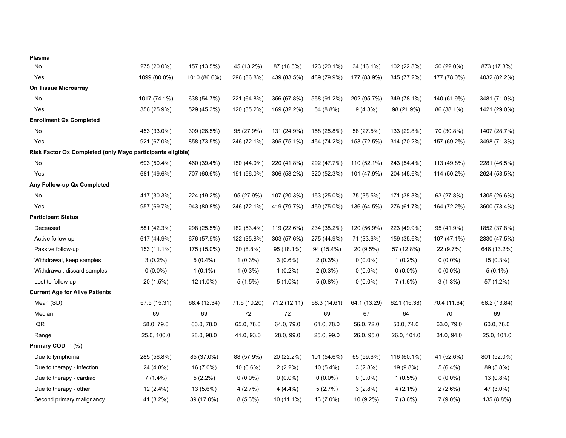| Plasma                                                     |              |              |              |              |              |              |              |              |              |
|------------------------------------------------------------|--------------|--------------|--------------|--------------|--------------|--------------|--------------|--------------|--------------|
| No                                                         | 275 (20.0%)  | 157 (13.5%)  | 45 (13.2%)   | 87 (16.5%)   | 123 (20.1%)  | 34 (16.1%)   | 102 (22.8%)  | 50 (22.0%)   | 873 (17.8%)  |
| Yes                                                        | 1099 (80.0%) | 1010 (86.6%) | 296 (86.8%)  | 439 (83.5%)  | 489 (79.9%)  | 177 (83.9%)  | 345 (77.2%)  | 177 (78.0%)  | 4032 (82.2%) |
| On Tissue Microarray                                       |              |              |              |              |              |              |              |              |              |
| No                                                         | 1017 (74.1%) | 638 (54.7%)  | 221 (64.8%)  | 356 (67.8%)  | 558 (91.2%)  | 202 (95.7%)  | 349 (78.1%)  | 140 (61.9%)  | 3481 (71.0%) |
| Yes                                                        | 356 (25.9%)  | 529 (45.3%)  | 120 (35.2%)  | 169 (32.2%)  | 54 (8.8%)    | $9(4.3\%)$   | 98 (21.9%)   | 86 (38.1%)   | 1421 (29.0%) |
| <b>Enrollment Qx Completed</b>                             |              |              |              |              |              |              |              |              |              |
| No                                                         | 453 (33.0%)  | 309 (26.5%)  | 95 (27.9%)   | 131 (24.9%)  | 158 (25.8%)  | 58 (27.5%)   | 133 (29.8%)  | 70 (30.8%)   | 1407 (28.7%) |
| Yes                                                        | 921 (67.0%)  | 858 (73.5%)  | 246 (72.1%)  | 395 (75.1%)  | 454 (74.2%)  | 153 (72.5%)  | 314 (70.2%)  | 157 (69.2%)  | 3498 (71.3%) |
| Risk Factor Qx Completed (only Mayo participants eligible) |              |              |              |              |              |              |              |              |              |
| No                                                         | 693 (50.4%)  | 460 (39.4%)  | 150 (44.0%)  | 220 (41.8%)  | 292 (47.7%)  | 110 (52.1%)  | 243 (54.4%)  | 113 (49.8%)  | 2281 (46.5%) |
| Yes                                                        | 681 (49.6%)  | 707 (60.6%)  | 191 (56.0%)  | 306 (58.2%)  | 320 (52.3%)  | 101 (47.9%)  | 204 (45.6%)  | 114 (50.2%)  | 2624 (53.5%) |
| Any Follow-up Qx Completed                                 |              |              |              |              |              |              |              |              |              |
| No                                                         | 417 (30.3%)  | 224 (19.2%)  | 95 (27.9%)   | 107 (20.3%)  | 153 (25.0%)  | 75 (35.5%)   | 171 (38.3%)  | 63 (27.8%)   | 1305 (26.6%) |
| Yes                                                        | 957 (69.7%)  | 943 (80.8%)  | 246 (72.1%)  | 419 (79.7%)  | 459 (75.0%)  | 136 (64.5%)  | 276 (61.7%)  | 164 (72.2%)  | 3600 (73.4%) |
| <b>Participant Status</b>                                  |              |              |              |              |              |              |              |              |              |
| Deceased                                                   | 581 (42.3%)  | 298 (25.5%)  | 182 (53.4%)  | 119 (22.6%)  | 234 (38.2%)  | 120 (56.9%)  | 223 (49.9%)  | 95 (41.9%)   | 1852 (37.8%) |
| Active follow-up                                           | 617 (44.9%)  | 676 (57.9%)  | 122 (35.8%)  | 303 (57.6%)  | 275 (44.9%)  | 71 (33.6%)   | 159 (35.6%)  | 107 (47.1%)  | 2330 (47.5%) |
| Passive follow-up                                          | 153 (11.1%)  | 175 (15.0%)  | 30 (8.8%)    | 95 (18.1%)   | 94 (15.4%)   | 20 (9.5%)    | 57 (12.8%)   | 22 (9.7%)    | 646 (13.2%)  |
| Withdrawal, keep samples                                   | $3(0.2\%)$   | $5(0.4\%)$   | $1(0.3\%)$   | $3(0.6\%)$   | $2(0.3\%)$   | $0(0.0\%)$   | $1(0.2\%)$   | $0(0.0\%)$   | 15 (0.3%)    |
| Withdrawal, discard samples                                | $0(0.0\%)$   | $1(0.1\%)$   | $1(0.3\%)$   | $1(0.2\%)$   | $2(0.3\%)$   | $0(0.0\%)$   | $0(0.0\%)$   | $0(0.0\%)$   | $5(0.1\%)$   |
| Lost to follow-up                                          | 20 (1.5%)    | 12 (1.0%)    | $5(1.5\%)$   | $5(1.0\%)$   | $5(0.8\%)$   | $0(0.0\%)$   | $7(1.6\%)$   | $3(1.3\%)$   | 57 (1.2%)    |
| <b>Current Age for Alive Patients</b>                      |              |              |              |              |              |              |              |              |              |
| Mean (SD)                                                  | 67.5 (15.31) | 68.4 (12.34) | 71.6 (10.20) | 71.2 (12.11) | 68.3 (14.61) | 64.1 (13.29) | 62.1 (16.38) | 70.4 (11.64) | 68.2 (13.84) |
| Median                                                     | 69           | 69           | $72\,$       | $72\,$       | 69           | 67           | 64           | 70           | 69           |
| <b>IQR</b>                                                 | 58.0, 79.0   | 60.0, 78.0   | 65.0, 78.0   | 64.0, 79.0   | 61.0, 78.0   | 56.0, 72.0   | 50.0, 74.0   | 63.0, 79.0   | 60.0, 78.0   |
| Range                                                      | 25.0, 100.0  | 28.0, 98.0   | 41.0, 93.0   | 28.0, 99.0   | 25.0, 99.0   | 26.0, 95.0   | 26.0, 101.0  | 31.0, 94.0   | 25.0, 101.0  |
| Primary COD, n (%)                                         |              |              |              |              |              |              |              |              |              |
| Due to lymphoma                                            | 285 (56.8%)  | 85 (37.0%)   | 88 (57.9%)   | 20 (22.2%)   | 101 (54.6%)  | 65 (59.6%)   | 116 (60.1%)  | 41 (52.6%)   | 801 (52.0%)  |
| Due to therapy - infection                                 | 24 (4.8%)    | 16 (7.0%)    | 10 (6.6%)    | $2(2.2\%)$   | 10 (5.4%)    | $3(2.8\%)$   | 19 (9.8%)    | $5(6.4\%)$   | 89 (5.8%)    |
| Due to therapy - cardiac                                   | $7(1.4\%)$   | $5(2.2\%)$   | $0(0.0\%)$   | $0(0.0\%)$   | $0(0.0\%)$   | $0(0.0\%)$   | $1(0.5\%)$   | $0(0.0\%)$   | 13 (0.8%)    |
| Due to therapy - other                                     | 12 (2.4%)    | 13 (5.6%)    | 4(2.7%)      | $4(4.4\%)$   | 5(2.7%)      | $3(2.8\%)$   | $4(2.1\%)$   | $2(2.6\%)$   | 47 (3.0%)    |
| Second primary malignancy                                  | 41 (8.2%)    | 39 (17.0%)   | $8(5.3\%)$   | 10 (11.1%)   | 13 (7.0%)    | 10 (9.2%)    | 7(3.6%)      | $7(9.0\%)$   | 135 (8.8%)   |